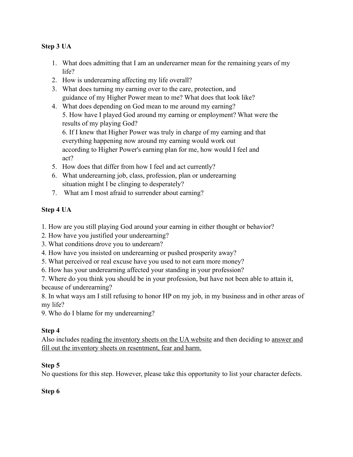# **Step 3 UA**

- 1. What does admitting that I am an underearner mean for the remaining years of my life?
- 2. How is underearning affecting my life overall?
- 3. What does turning my earning over to the care, protection, and guidance of my Higher Power mean to me? What does that look like?
- 4. What does depending on God mean to me around my earning? 5. How have I played God around my earning or employment? What were the results of my playing God?

6. If I knew that Higher Power was truly in charge of my earning and that everything happening now around my earning would work out according to Higher Power's earning plan for me, how would I feel and act?

- 5. How does that differ from how I feel and act currently?
- 6. What underearning job, class, profession, plan or underearning situation might I be clinging to desperately?
- 7. What am I most afraid to surrender about earning?

# **Step 4 UA**

1. How are you still playing God around your earning in either thought or behavior?

- 2. How have you justified your underearning?
- 3. What conditions drove you to underearn?
- 4. How have you insisted on underearning or pushed prosperity away?
- 5. What perceived or real excuse have you used to not earn more money?
- 6. How has your underearning affected your standing in your profession?

7. Where do you think you should be in your profession, but have not been able to attain it, because of underearning?

8. In what ways am I still refusing to honor HP on my job, in my business and in other areas of my life?

9. Who do I blame for my underearning?

# **Step 4**

Also includes reading the inventory sheets on the UA website and then deciding to answer and fill out the inventory sheets on resentment, fear and harm.

# **Step 5**

No questions for this step. However, please take this opportunity to list your character defects.

#### **Step 6**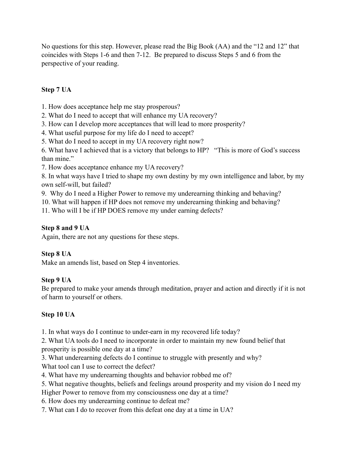No questions for this step. However, please read the Big Book (AA) and the "12 and 12" that coincides with Steps 1-6 and then 7-12. Be prepared to discuss Steps 5 and 6 from the perspective of your reading.

# **Step 7 UA**

1. How does acceptance help me stay prosperous?

2. What do I need to accept that will enhance my UA recovery?

3. How can I develop more acceptances that will lead to more prosperity?

4. What useful purpose for my life do I need to accept?

5. What do I need to accept in my UA recovery right now?

6. What have I achieved that is a victory that belongs to HP? "This is more of God's success than mine."

7. How does acceptance enhance my UA recovery?

8. In what ways have I tried to shape my own destiny by my own intelligence and labor, by my own self-will, but failed?

9. Why do I need a Higher Power to remove my underearning thinking and behaving?

10. What will happen if HP does not remove my underearning thinking and behaving?

11. Who will I be if HP DOES remove my under earning defects?

### **Step 8 and 9 UA**

Again, there are not any questions for these steps.

# **Step 8 UA**

Make an amends list, based on Step 4 inventories.

# **Step 9 UA**

Be prepared to make your amends through meditation, prayer and action and directly if it is not of harm to yourself or others.

# **Step 10 UA**

1. In what ways do I continue to under-earn in my recovered life today?

2. What UA tools do I need to incorporate in order to maintain my new found belief that prosperity is possible one day at a time?

3. What underearning defects do I continue to struggle with presently and why? What tool can I use to correct the defect?

4. What have my underearning thoughts and behavior robbed me of?

5. What negative thoughts, beliefs and feelings around prosperity and my vision do I need my

Higher Power to remove from my consciousness one day at a time?

6. How does my underearning continue to defeat me?

7. What can I do to recover from this defeat one day at a time in UA?